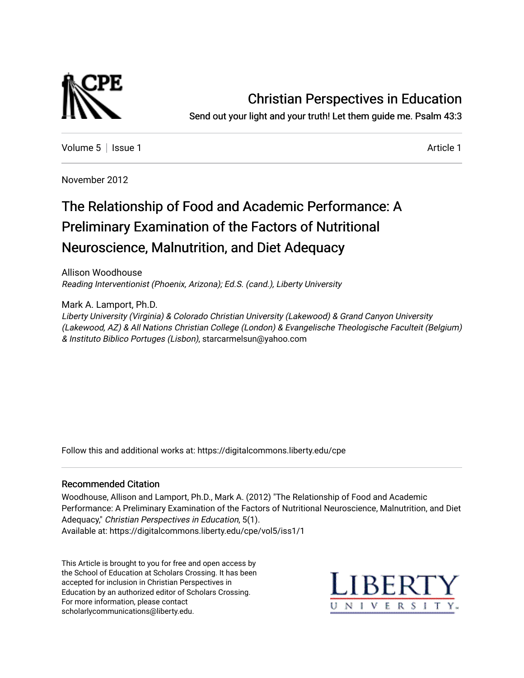

## [Christian Perspectives in Education](https://digitalcommons.liberty.edu/cpe)

Send out your light and your truth! Let them guide me. Psalm 43:3

[Volume 5](https://digitalcommons.liberty.edu/cpe/vol5) | [Issue 1](https://digitalcommons.liberty.edu/cpe/vol5/iss1) [Article 1](https://digitalcommons.liberty.edu/cpe/vol5/iss1/1) Article 1 Article 1 Article 1 Article 1 Article 1 Article 1 Article 1 Article 1 A

November 2012

# The Relationship of Food and Academic Performance: A Preliminary Examination of the Factors of Nutritional Neuroscience, Malnutrition, and Diet Adequacy

Allison Woodhouse Reading Interventionist (Phoenix, Arizona); Ed.S. (cand.), Liberty University

Mark A. Lamport, Ph.D.

Liberty University (Virginia) & Colorado Christian University (Lakewood) & Grand Canyon University (Lakewood, AZ) & All Nations Christian College (London) & Evangelische Theologische Faculteit (Belgium) & Instituto Biblico Portuges (Lisbon), starcarmelsun@yahoo.com

Follow this and additional works at: [https://digitalcommons.liberty.edu/cpe](https://digitalcommons.liberty.edu/cpe?utm_source=digitalcommons.liberty.edu%2Fcpe%2Fvol5%2Fiss1%2F1&utm_medium=PDF&utm_campaign=PDFCoverPages)

#### Recommended Citation

Woodhouse, Allison and Lamport, Ph.D., Mark A. (2012) "The Relationship of Food and Academic Performance: A Preliminary Examination of the Factors of Nutritional Neuroscience, Malnutrition, and Diet Adequacy," Christian Perspectives in Education, 5(1). Available at: https://digitalcommons.liberty.edu/cpe/vol5/iss1/1

This Article is brought to you for free and open access by the School of Education at Scholars Crossing. It has been accepted for inclusion in Christian Perspectives in Education by an authorized editor of Scholars Crossing. For more information, please contact [scholarlycommunications@liberty.edu.](mailto:scholarlycommunications@liberty.edu)

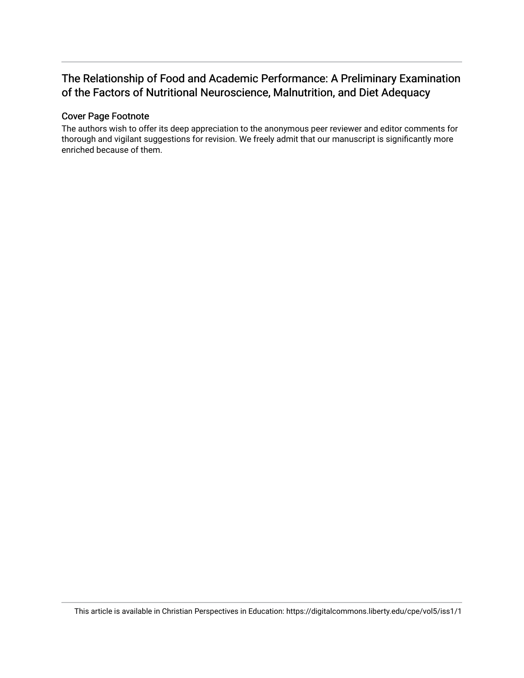## The Relationship of Food and Academic Performance: A Preliminary Examination of the Factors of Nutritional Neuroscience, Malnutrition, and Diet Adequacy

#### Cover Page Footnote

The authors wish to offer its deep appreciation to the anonymous peer reviewer and editor comments for thorough and vigilant suggestions for revision. We freely admit that our manuscript is significantly more enriched because of them.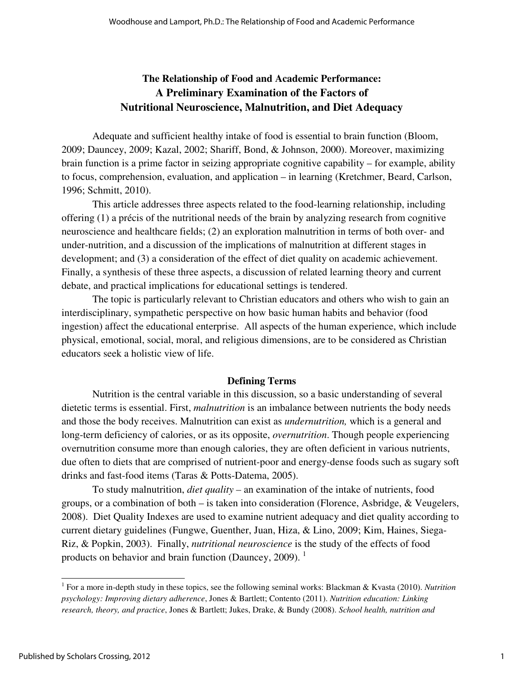### **The Relationship of Food and Academic Performance: A Preliminary Examination of the Factors of Nutritional Neuroscience, Malnutrition, and Diet Adequacy**

Adequate and sufficient healthy intake of food is essential to brain function (Bloom, 2009; Dauncey, 2009; Kazal, 2002; Shariff, Bond, & Johnson, 2000). Moreover, maximizing brain function is a prime factor in seizing appropriate cognitive capability – for example, ability to focus, comprehension, evaluation, and application – in learning (Kretchmer, Beard, Carlson, 1996; Schmitt, 2010).

This article addresses three aspects related to the food-learning relationship, including offering (1) a précis of the nutritional needs of the brain by analyzing research from cognitive neuroscience and healthcare fields; (2) an exploration malnutrition in terms of both over- and under-nutrition, and a discussion of the implications of malnutrition at different stages in development; and (3) a consideration of the effect of diet quality on academic achievement. Finally, a synthesis of these three aspects, a discussion of related learning theory and current debate, and practical implications for educational settings is tendered.

The topic is particularly relevant to Christian educators and others who wish to gain an interdisciplinary, sympathetic perspective on how basic human habits and behavior (food ingestion) affect the educational enterprise. All aspects of the human experience, which include physical, emotional, social, moral, and religious dimensions, are to be considered as Christian educators seek a holistic view of life.

#### **Defining Terms**

 Nutrition is the central variable in this discussion, so a basic understanding of several dietetic terms is essential. First, *malnutrition* is an imbalance between nutrients the body needs and those the body receives. Malnutrition can exist as *undernutrition,* which is a general and long-term deficiency of calories, or as its opposite, *overnutrition*. Though people experiencing overnutrition consume more than enough calories, they are often deficient in various nutrients, due often to diets that are comprised of nutrient-poor and energy-dense foods such as sugary soft drinks and fast-food items (Taras & Potts-Datema, 2005).

To study malnutrition, *diet quality –* an examination of the intake of nutrients, food groups, or a combination of both – is taken into consideration (Florence, Asbridge, & Veugelers, 2008). Diet Quality Indexes are used to examine nutrient adequacy and diet quality according to current dietary guidelines (Fungwe, Guenther, Juan, Hiza, & Lino, 2009; Kim, Haines, Siega-Riz, & Popkin, 2003). Finally, *nutritional neuroscience* is the study of the effects of food products on behavior and brain function (Dauncey, 2009).  $<sup>1</sup>$ </sup>

<sup>&</sup>lt;sup>1</sup> For a more in-depth study in these topics, see the following seminal works: Blackman & Kvasta (2010). *Nutrition psychology: Improving dietary adherence*, Jones & Bartlett; Contento (2011). *Nutrition education: Linking research, theory, and practice*, Jones & Bartlett; Jukes, Drake, & Bundy (2008). *School health, nutrition and*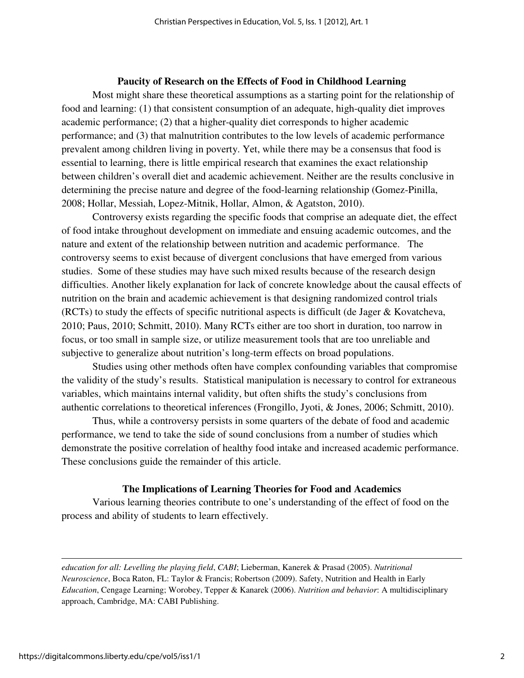#### **Paucity of Research on the Effects of Food in Childhood Learning**

Most might share these theoretical assumptions as a starting point for the relationship of food and learning: (1) that consistent consumption of an adequate, high-quality diet improves academic performance; (2) that a higher-quality diet corresponds to higher academic performance; and (3) that malnutrition contributes to the low levels of academic performance prevalent among children living in poverty. Yet, while there may be a consensus that food is essential to learning, there is little empirical research that examines the exact relationship between children's overall diet and academic achievement. Neither are the results conclusive in determining the precise nature and degree of the food-learning relationship (Gomez-Pinilla, 2008; Hollar, Messiah, Lopez-Mitnik, Hollar, Almon, & Agatston, 2010).

Controversy exists regarding the specific foods that comprise an adequate diet, the effect of food intake throughout development on immediate and ensuing academic outcomes, and the nature and extent of the relationship between nutrition and academic performance. The controversy seems to exist because of divergent conclusions that have emerged from various studies. Some of these studies may have such mixed results because of the research design difficulties. Another likely explanation for lack of concrete knowledge about the causal effects of nutrition on the brain and academic achievement is that designing randomized control trials (RCTs) to study the effects of specific nutritional aspects is difficult (de Jager & Kovatcheva, 2010; Paus, 2010; Schmitt, 2010). Many RCTs either are too short in duration, too narrow in focus, or too small in sample size, or utilize measurement tools that are too unreliable and subjective to generalize about nutrition's long-term effects on broad populations.

Studies using other methods often have complex confounding variables that compromise the validity of the study's results. Statistical manipulation is necessary to control for extraneous variables, which maintains internal validity, but often shifts the study's conclusions from authentic correlations to theoretical inferences (Frongillo, Jyoti, & Jones, 2006; Schmitt, 2010).

Thus, while a controversy persists in some quarters of the debate of food and academic performance, we tend to take the side of sound conclusions from a number of studies which demonstrate the positive correlation of healthy food intake and increased academic performance. These conclusions guide the remainder of this article.

#### **The Implications of Learning Theories for Food and Academics**

Various learning theories contribute to one's understanding of the effect of food on the process and ability of students to learn effectively.

*education for all: Levelling the playing field*, *CABI*; Lieberman, Kanerek & Prasad (2005). *Nutritional Neuroscience*, Boca Raton, FL: Taylor & Francis; Robertson (2009). Safety, Nutrition and Health in Early *Education*, Cengage Learning; Worobey, Tepper & Kanarek (2006). *Nutrition and behavior*: A multidisciplinary approach, Cambridge, MA: CABI Publishing.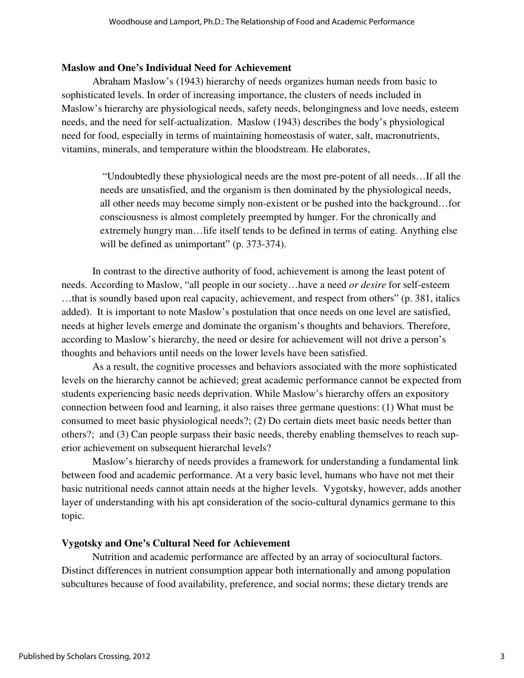#### **Maslow and One's Individual Need for Achievement**

 Abraham Maslow's (1943) hierarchy of needs organizes human needs from basic to sophisticated levels. In order of increasing importance, the clusters of needs included in Maslow's hierarchy are physiological needs, safety needs, belongingness and love needs, esteem needs, and the need for self-actualization. Maslow (1943) describes the body's physiological need for food, especially in terms of maintaining homeostasis of water, salt, macronutrients, vitamins, minerals, and temperature within the bloodstream. He elaborates,

 "Undoubtedly these physiological needs are the most pre-potent of all needs…If all the needs are unsatisfied, and the organism is then dominated by the physiological needs, all other needs may become simply non-existent or be pushed into the background…for consciousness is almost completely preempted by hunger. For the chronically and extremely hungry man…life itself tends to be defined in terms of eating. Anything else will be defined as unimportant" (p. 373-374).

In contrast to the directive authority of food, achievement is among the least potent of needs. According to Maslow, "all people in our society…have a need *or desire* for self-esteem …that is soundly based upon real capacity, achievement, and respect from others" (p. 381, italics added). It is important to note Maslow's postulation that once needs on one level are satisfied, needs at higher levels emerge and dominate the organism's thoughts and behaviors. Therefore, according to Maslow's hierarchy, the need or desire for achievement will not drive a person's thoughts and behaviors until needs on the lower levels have been satisfied.

As a result, the cognitive processes and behaviors associated with the more sophisticated levels on the hierarchy cannot be achieved; great academic performance cannot be expected from students experiencing basic needs deprivation. While Maslow's hierarchy offers an expository connection between food and learning, it also raises three germane questions: (1) What must be consumed to meet basic physiological needs?; (2) Do certain diets meet basic needs better than others?; and (3) Can people surpass their basic needs, thereby enabling themselves to reach superior achievement on subsequent hierarchal levels?

Maslow's hierarchy of needs provides a framework for understanding a fundamental link between food and academic performance. At a very basic level, humans who have not met their basic nutritional needs cannot attain needs at the higher levels. Vygotsky, however, adds another layer of understanding with his apt consideration of the socio-cultural dynamics germane to this topic.

#### **Vygotsky and One's Cultural Need for Achievement**

 Nutrition and academic performance are affected by an array of sociocultural factors. Distinct differences in nutrient consumption appear both internationally and among population subcultures because of food availability, preference, and social norms; these dietary trends are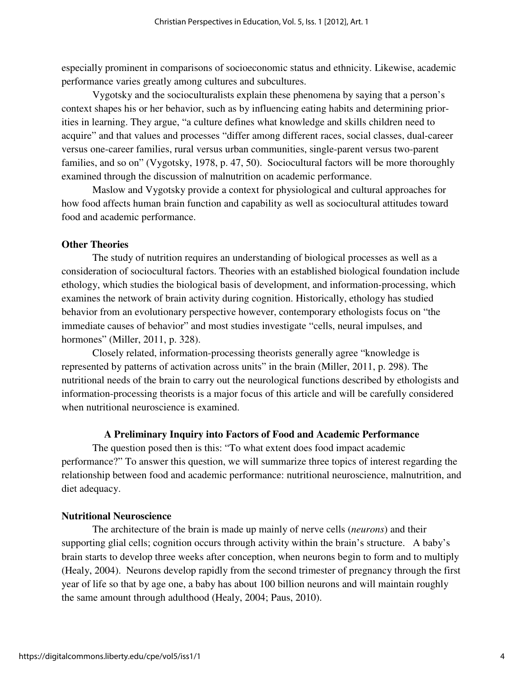especially prominent in comparisons of socioeconomic status and ethnicity. Likewise, academic performance varies greatly among cultures and subcultures.

Vygotsky and the socioculturalists explain these phenomena by saying that a person's context shapes his or her behavior, such as by influencing eating habits and determining priorities in learning. They argue, "a culture defines what knowledge and skills children need to acquire" and that values and processes "differ among different races, social classes, dual-career versus one-career families, rural versus urban communities, single-parent versus two-parent families, and so on" (Vygotsky, 1978, p. 47, 50). Sociocultural factors will be more thoroughly examined through the discussion of malnutrition on academic performance.

Maslow and Vygotsky provide a context for physiological and cultural approaches for how food affects human brain function and capability as well as sociocultural attitudes toward food and academic performance.

#### **Other Theories**

The study of nutrition requires an understanding of biological processes as well as a consideration of sociocultural factors. Theories with an established biological foundation include ethology, which studies the biological basis of development, and information-processing, which examines the network of brain activity during cognition. Historically, ethology has studied behavior from an evolutionary perspective however, contemporary ethologists focus on "the immediate causes of behavior" and most studies investigate "cells, neural impulses, and hormones" (Miller, 2011, p. 328).

Closely related, information-processing theorists generally agree "knowledge is represented by patterns of activation across units" in the brain (Miller, 2011, p. 298). The nutritional needs of the brain to carry out the neurological functions described by ethologists and information-processing theorists is a major focus of this article and will be carefully considered when nutritional neuroscience is examined.

#### **A Preliminary Inquiry into Factors of Food and Academic Performance**

The question posed then is this: "To what extent does food impact academic performance?" To answer this question, we will summarize three topics of interest regarding the relationship between food and academic performance: nutritional neuroscience, malnutrition, and diet adequacy.

#### **Nutritional Neuroscience**

 The architecture of the brain is made up mainly of nerve cells (*neurons*) and their supporting glial cells; cognition occurs through activity within the brain's structure. A baby's brain starts to develop three weeks after conception, when neurons begin to form and to multiply (Healy, 2004). Neurons develop rapidly from the second trimester of pregnancy through the first year of life so that by age one, a baby has about 100 billion neurons and will maintain roughly the same amount through adulthood (Healy, 2004; Paus, 2010).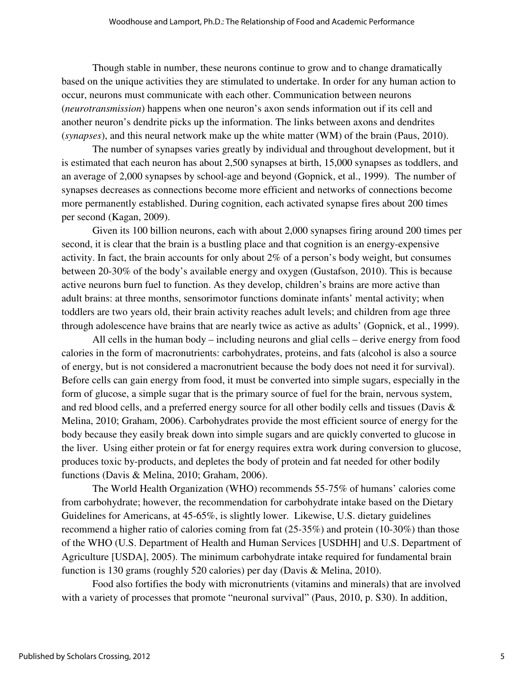Though stable in number, these neurons continue to grow and to change dramatically based on the unique activities they are stimulated to undertake. In order for any human action to occur, neurons must communicate with each other. Communication between neurons (*neurotransmission*) happens when one neuron's axon sends information out if its cell and another neuron's dendrite picks up the information. The links between axons and dendrites (*synapses*), and this neural network make up the white matter (WM) of the brain (Paus, 2010).

The number of synapses varies greatly by individual and throughout development, but it is estimated that each neuron has about 2,500 synapses at birth, 15,000 synapses as toddlers, and an average of 2,000 synapses by school-age and beyond (Gopnick, et al., 1999). The number of synapses decreases as connections become more efficient and networks of connections become more permanently established. During cognition, each activated synapse fires about 200 times per second (Kagan, 2009).

 Given its 100 billion neurons, each with about 2,000 synapses firing around 200 times per second, it is clear that the brain is a bustling place and that cognition is an energy-expensive activity. In fact, the brain accounts for only about 2% of a person's body weight, but consumes between 20-30% of the body's available energy and oxygen (Gustafson, 2010). This is because active neurons burn fuel to function. As they develop, children's brains are more active than adult brains: at three months, sensorimotor functions dominate infants' mental activity; when toddlers are two years old, their brain activity reaches adult levels; and children from age three through adolescence have brains that are nearly twice as active as adults' (Gopnick, et al., 1999).

 All cells in the human body – including neurons and glial cells – derive energy from food calories in the form of macronutrients: carbohydrates, proteins, and fats (alcohol is also a source of energy, but is not considered a macronutrient because the body does not need it for survival). Before cells can gain energy from food, it must be converted into simple sugars, especially in the form of glucose, a simple sugar that is the primary source of fuel for the brain, nervous system, and red blood cells, and a preferred energy source for all other bodily cells and tissues (Davis & Melina, 2010; Graham, 2006). Carbohydrates provide the most efficient source of energy for the body because they easily break down into simple sugars and are quickly converted to glucose in the liver. Using either protein or fat for energy requires extra work during conversion to glucose, produces toxic by-products, and depletes the body of protein and fat needed for other bodily functions (Davis & Melina, 2010; Graham, 2006).

The World Health Organization (WHO) recommends 55-75% of humans' calories come from carbohydrate; however, the recommendation for carbohydrate intake based on the Dietary Guidelines for Americans, at 45-65%, is slightly lower. Likewise, U.S. dietary guidelines recommend a higher ratio of calories coming from fat (25-35%) and protein (10-30%) than those of the WHO (U.S. Department of Health and Human Services [USDHH] and U.S. Department of Agriculture [USDA], 2005). The minimum carbohydrate intake required for fundamental brain function is 130 grams (roughly 520 calories) per day (Davis & Melina, 2010).

Food also fortifies the body with micronutrients (vitamins and minerals) that are involved with a variety of processes that promote "neuronal survival" (Paus, 2010, p. S30). In addition,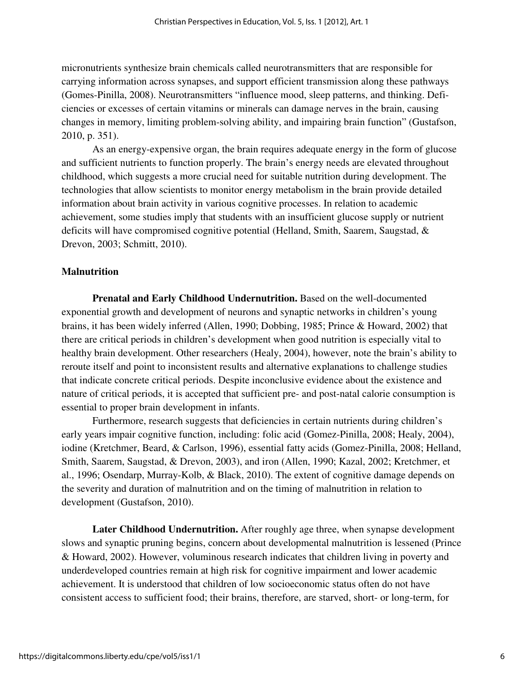micronutrients synthesize brain chemicals called neurotransmitters that are responsible for carrying information across synapses, and support efficient transmission along these pathways (Gomes-Pinilla, 2008). Neurotransmitters "influence mood, sleep patterns, and thinking. Deficiencies or excesses of certain vitamins or minerals can damage nerves in the brain, causing changes in memory, limiting problem-solving ability, and impairing brain function" (Gustafson, 2010, p. 351).

As an energy-expensive organ, the brain requires adequate energy in the form of glucose and sufficient nutrients to function properly. The brain's energy needs are elevated throughout childhood, which suggests a more crucial need for suitable nutrition during development. The technologies that allow scientists to monitor energy metabolism in the brain provide detailed information about brain activity in various cognitive processes. In relation to academic achievement, some studies imply that students with an insufficient glucose supply or nutrient deficits will have compromised cognitive potential (Helland, Smith, Saarem, Saugstad, & Drevon, 2003; Schmitt, 2010).

#### **Malnutrition**

**Prenatal and Early Childhood Undernutrition.** Based on the well-documented exponential growth and development of neurons and synaptic networks in children's young brains, it has been widely inferred (Allen, 1990; Dobbing, 1985; Prince & Howard, 2002) that there are critical periods in children's development when good nutrition is especially vital to healthy brain development. Other researchers (Healy, 2004), however, note the brain's ability to reroute itself and point to inconsistent results and alternative explanations to challenge studies that indicate concrete critical periods. Despite inconclusive evidence about the existence and nature of critical periods, it is accepted that sufficient pre- and post-natal calorie consumption is essential to proper brain development in infants.

Furthermore, research suggests that deficiencies in certain nutrients during children's early years impair cognitive function, including: folic acid (Gomez-Pinilla, 2008; Healy, 2004), iodine (Kretchmer, Beard, & Carlson, 1996), essential fatty acids (Gomez-Pinilla, 2008; Helland, Smith, Saarem, Saugstad, & Drevon, 2003), and iron (Allen, 1990; Kazal, 2002; Kretchmer, et al., 1996; Osendarp, Murray-Kolb, & Black, 2010). The extent of cognitive damage depends on the severity and duration of malnutrition and on the timing of malnutrition in relation to development (Gustafson, 2010).

**Later Childhood Undernutrition.** After roughly age three, when synapse development slows and synaptic pruning begins, concern about developmental malnutrition is lessened (Prince & Howard, 2002). However, voluminous research indicates that children living in poverty and underdeveloped countries remain at high risk for cognitive impairment and lower academic achievement. It is understood that children of low socioeconomic status often do not have consistent access to sufficient food; their brains, therefore, are starved, short- or long-term, for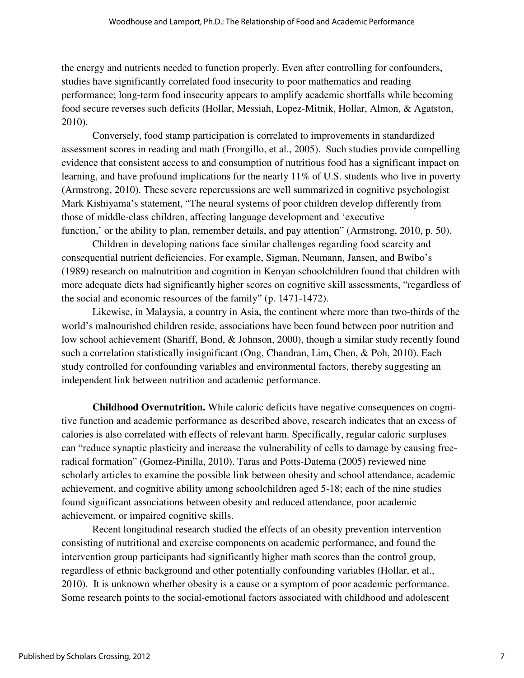the energy and nutrients needed to function properly. Even after controlling for confounders, studies have significantly correlated food insecurity to poor mathematics and reading performance; long-term food insecurity appears to amplify academic shortfalls while becoming food secure reverses such deficits (Hollar, Messiah, Lopez-Mitnik, Hollar, Almon, & Agatston, 2010).

Conversely, food stamp participation is correlated to improvements in standardized assessment scores in reading and math (Frongillo, et al., 2005). Such studies provide compelling evidence that consistent access to and consumption of nutritious food has a significant impact on learning, and have profound implications for the nearly 11% of U.S. students who live in poverty (Armstrong, 2010). These severe repercussions are well summarized in cognitive psychologist Mark Kishiyama's statement, "The neural systems of poor children develop differently from those of middle-class children, affecting language development and 'executive function,' or the ability to plan, remember details, and pay attention" (Armstrong, 2010, p. 50).

 Children in developing nations face similar challenges regarding food scarcity and consequential nutrient deficiencies. For example, Sigman, Neumann, Jansen, and Bwibo's (1989) research on malnutrition and cognition in Kenyan schoolchildren found that children with more adequate diets had significantly higher scores on cognitive skill assessments, "regardless of the social and economic resources of the family" (p. 1471-1472).

Likewise, in Malaysia, a country in Asia, the continent where more than two-thirds of the world's malnourished children reside, associations have been found between poor nutrition and low school achievement (Shariff, Bond, & Johnson, 2000), though a similar study recently found such a correlation statistically insignificant (Ong, Chandran, Lim, Chen, & Poh, 2010). Each study controlled for confounding variables and environmental factors, thereby suggesting an independent link between nutrition and academic performance.

**Childhood Overnutrition.** While caloric deficits have negative consequences on cognitive function and academic performance as described above, research indicates that an excess of calories is also correlated with effects of relevant harm. Specifically, regular caloric surpluses can "reduce synaptic plasticity and increase the vulnerability of cells to damage by causing freeradical formation" (Gomez-Pinilla, 2010). Taras and Potts-Datema (2005) reviewed nine scholarly articles to examine the possible link between obesity and school attendance, academic achievement, and cognitive ability among schoolchildren aged 5-18; each of the nine studies found significant associations between obesity and reduced attendance, poor academic achievement, or impaired cognitive skills.

Recent longitudinal research studied the effects of an obesity prevention intervention consisting of nutritional and exercise components on academic performance, and found the intervention group participants had significantly higher math scores than the control group, regardless of ethnic background and other potentially confounding variables (Hollar, et al., 2010). It is unknown whether obesity is a cause or a symptom of poor academic performance. Some research points to the social-emotional factors associated with childhood and adolescent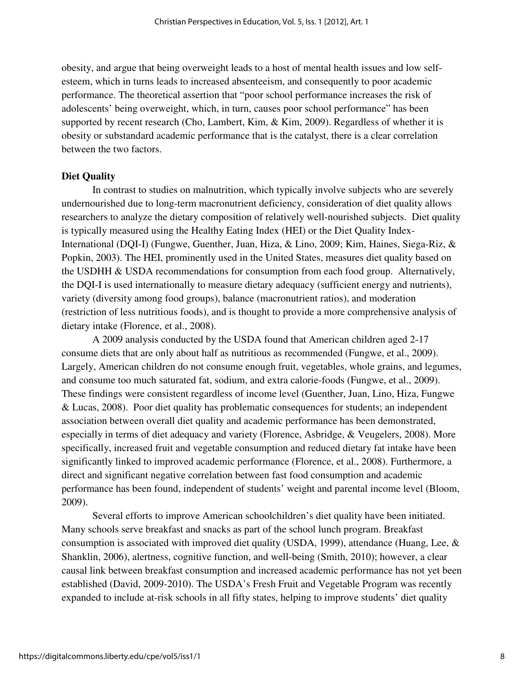obesity, and argue that being overweight leads to a host of mental health issues and low selfesteem, which in turns leads to increased absenteeism, and consequently to poor academic performance. The theoretical assertion that "poor school performance increases the risk of adolescents' being overweight, which, in turn, causes poor school performance" has been supported by recent research (Cho, Lambert, Kim, & Kim, 2009). Regardless of whether it is obesity or substandard academic performance that is the catalyst, there is a clear correlation between the two factors.

#### **Diet Quality**

 In contrast to studies on malnutrition, which typically involve subjects who are severely undernourished due to long-term macronutrient deficiency, consideration of diet quality allows researchers to analyze the dietary composition of relatively well-nourished subjects. Diet quality is typically measured using the Healthy Eating Index (HEI) or the Diet Quality Index-International (DQI-I) (Fungwe, Guenther, Juan, Hiza, & Lino, 2009; Kim, Haines, Siega-Riz, & Popkin, 2003). The HEI, prominently used in the United States, measures diet quality based on the USDHH & USDA recommendations for consumption from each food group. Alternatively, the DQI-I is used internationally to measure dietary adequacy (sufficient energy and nutrients), variety (diversity among food groups), balance (macronutrient ratios), and moderation (restriction of less nutritious foods), and is thought to provide a more comprehensive analysis of dietary intake (Florence, et al., 2008).

A 2009 analysis conducted by the USDA found that American children aged 2-17 consume diets that are only about half as nutritious as recommended (Fungwe, et al., 2009). Largely, American children do not consume enough fruit, vegetables, whole grains, and legumes, and consume too much saturated fat, sodium, and extra calorie-foods (Fungwe, et al., 2009). These findings were consistent regardless of income level (Guenther, Juan, Lino, Hiza, Fungwe & Lucas, 2008). Poor diet quality has problematic consequences for students; an independent association between overall diet quality and academic performance has been demonstrated, especially in terms of diet adequacy and variety (Florence, Asbridge, & Veugelers, 2008). More specifically, increased fruit and vegetable consumption and reduced dietary fat intake have been significantly linked to improved academic performance (Florence, et al., 2008). Furthermore, a direct and significant negative correlation between fast food consumption and academic performance has been found, independent of students' weight and parental income level (Bloom, 2009).

Several efforts to improve American schoolchildren's diet quality have been initiated. Many schools serve breakfast and snacks as part of the school lunch program. Breakfast consumption is associated with improved diet quality (USDA, 1999), attendance (Huang, Lee, & Shanklin, 2006), alertness, cognitive function, and well-being (Smith, 2010); however, a clear causal link between breakfast consumption and increased academic performance has not yet been established (David, 2009-2010). The USDA's Fresh Fruit and Vegetable Program was recently expanded to include at-risk schools in all fifty states, helping to improve students' diet quality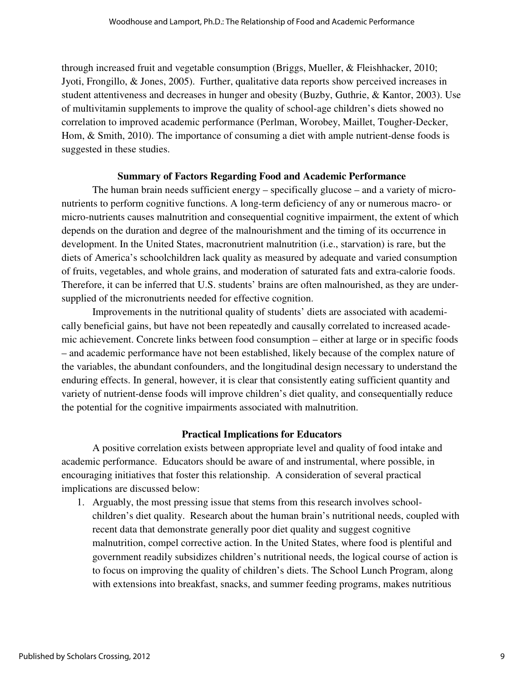through increased fruit and vegetable consumption (Briggs, Mueller, & Fleishhacker, 2010; Jyoti, Frongillo, & Jones, 2005). Further, qualitative data reports show perceived increases in student attentiveness and decreases in hunger and obesity (Buzby, Guthrie, & Kantor, 2003). Use of multivitamin supplements to improve the quality of school-age children's diets showed no correlation to improved academic performance (Perlman, Worobey, Maillet, Tougher-Decker, Hom, & Smith, 2010). The importance of consuming a diet with ample nutrient-dense foods is suggested in these studies.

#### **Summary of Factors Regarding Food and Academic Performance**

 The human brain needs sufficient energy – specifically glucose – and a variety of micronutrients to perform cognitive functions. A long-term deficiency of any or numerous macro- or micro-nutrients causes malnutrition and consequential cognitive impairment, the extent of which depends on the duration and degree of the malnourishment and the timing of its occurrence in development. In the United States, macronutrient malnutrition (i.e., starvation) is rare, but the diets of America's schoolchildren lack quality as measured by adequate and varied consumption of fruits, vegetables, and whole grains, and moderation of saturated fats and extra-calorie foods. Therefore, it can be inferred that U.S. students' brains are often malnourished, as they are undersupplied of the micronutrients needed for effective cognition.

 Improvements in the nutritional quality of students' diets are associated with academically beneficial gains, but have not been repeatedly and causally correlated to increased academic achievement. Concrete links between food consumption – either at large or in specific foods – and academic performance have not been established, likely because of the complex nature of the variables, the abundant confounders, and the longitudinal design necessary to understand the enduring effects. In general, however, it is clear that consistently eating sufficient quantity and variety of nutrient-dense foods will improve children's diet quality, and consequentially reduce the potential for the cognitive impairments associated with malnutrition.

#### **Practical Implications for Educators**

 A positive correlation exists between appropriate level and quality of food intake and academic performance. Educators should be aware of and instrumental, where possible, in encouraging initiatives that foster this relationship. A consideration of several practical implications are discussed below:

1. Arguably, the most pressing issue that stems from this research involves schoolchildren's diet quality. Research about the human brain's nutritional needs, coupled with recent data that demonstrate generally poor diet quality and suggest cognitive malnutrition, compel corrective action. In the United States, where food is plentiful and government readily subsidizes children's nutritional needs, the logical course of action is to focus on improving the quality of children's diets. The School Lunch Program, along with extensions into breakfast, snacks, and summer feeding programs, makes nutritious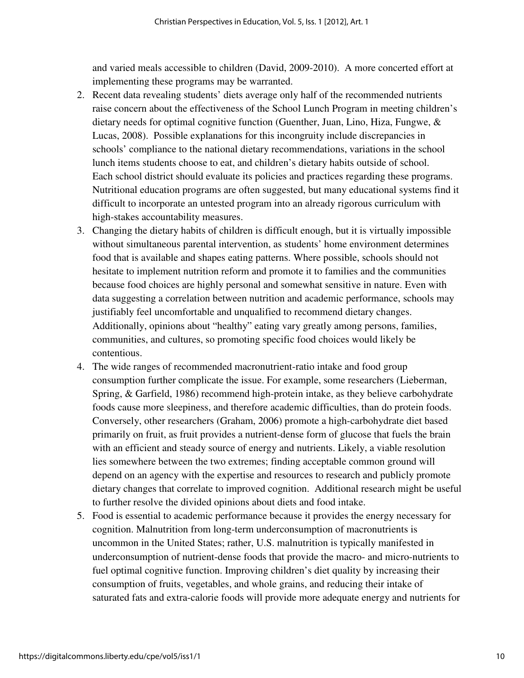and varied meals accessible to children (David, 2009-2010). A more concerted effort at implementing these programs may be warranted.

- 2. Recent data revealing students' diets average only half of the recommended nutrients raise concern about the effectiveness of the School Lunch Program in meeting children's dietary needs for optimal cognitive function (Guenther, Juan, Lino, Hiza, Fungwe, & Lucas, 2008). Possible explanations for this incongruity include discrepancies in schools' compliance to the national dietary recommendations, variations in the school lunch items students choose to eat, and children's dietary habits outside of school. Each school district should evaluate its policies and practices regarding these programs. Nutritional education programs are often suggested, but many educational systems find it difficult to incorporate an untested program into an already rigorous curriculum with high-stakes accountability measures.
- 3. Changing the dietary habits of children is difficult enough, but it is virtually impossible without simultaneous parental intervention, as students' home environment determines food that is available and shapes eating patterns. Where possible, schools should not hesitate to implement nutrition reform and promote it to families and the communities because food choices are highly personal and somewhat sensitive in nature. Even with data suggesting a correlation between nutrition and academic performance, schools may justifiably feel uncomfortable and unqualified to recommend dietary changes. Additionally, opinions about "healthy" eating vary greatly among persons, families, communities, and cultures, so promoting specific food choices would likely be contentious.
- 4. The wide ranges of recommended macronutrient-ratio intake and food group consumption further complicate the issue. For example, some researchers (Lieberman, Spring, & Garfield, 1986) recommend high-protein intake, as they believe carbohydrate foods cause more sleepiness, and therefore academic difficulties, than do protein foods. Conversely, other researchers (Graham, 2006) promote a high-carbohydrate diet based primarily on fruit, as fruit provides a nutrient-dense form of glucose that fuels the brain with an efficient and steady source of energy and nutrients. Likely, a viable resolution lies somewhere between the two extremes; finding acceptable common ground will depend on an agency with the expertise and resources to research and publicly promote dietary changes that correlate to improved cognition. Additional research might be useful to further resolve the divided opinions about diets and food intake.
- 5. Food is essential to academic performance because it provides the energy necessary for cognition. Malnutrition from long-term underconsumption of macronutrients is uncommon in the United States; rather, U.S. malnutrition is typically manifested in underconsumption of nutrient-dense foods that provide the macro- and micro-nutrients to fuel optimal cognitive function. Improving children's diet quality by increasing their consumption of fruits, vegetables, and whole grains, and reducing their intake of saturated fats and extra-calorie foods will provide more adequate energy and nutrients for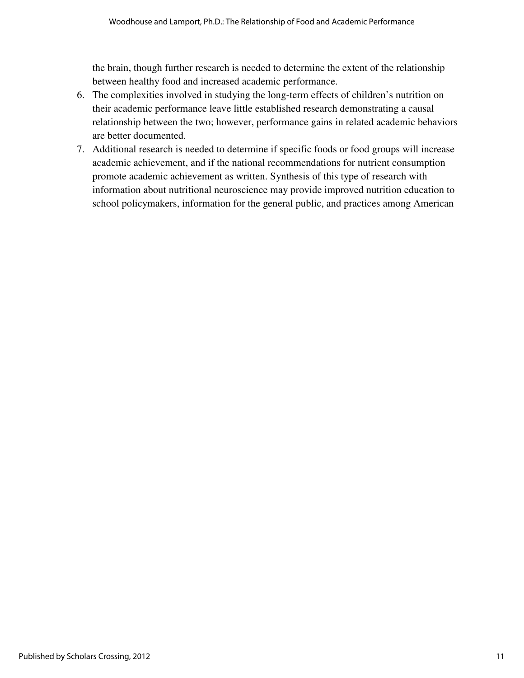the brain, though further research is needed to determine the extent of the relationship between healthy food and increased academic performance.

- 6. The complexities involved in studying the long-term effects of children's nutrition on their academic performance leave little established research demonstrating a causal relationship between the two; however, performance gains in related academic behaviors are better documented.
- 7. Additional research is needed to determine if specific foods or food groups will increase academic achievement, and if the national recommendations for nutrient consumption promote academic achievement as written. Synthesis of this type of research with information about nutritional neuroscience may provide improved nutrition education to school policymakers, information for the general public, and practices among American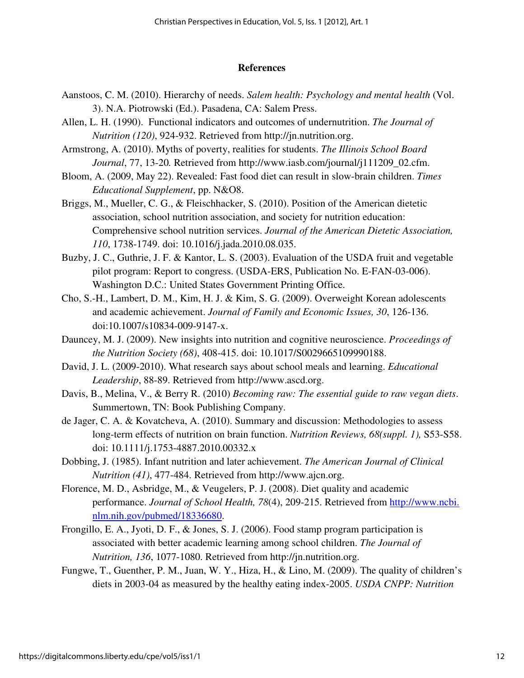#### **References**

- Aanstoos, C. M. (2010). Hierarchy of needs. *Salem health: Psychology and mental health* (Vol. 3). N.A. Piotrowski (Ed.). Pasadena, CA: Salem Press.
- Allen, L. H. (1990). Functional indicators and outcomes of undernutrition. *The Journal of Nutrition (120)*, 924-932. Retrieved from http://jn.nutrition.org.
- Armstrong, A. (2010). Myths of poverty, realities for students. *The Illinois School Board Journal*, 77, 13-20*.* Retrieved from http://www.iasb.com/journal/j111209\_02.cfm.
- Bloom, A. (2009, May 22). Revealed: Fast food diet can result in slow-brain children. *Times Educational Supplement*, pp. N&O8.
- Briggs, M., Mueller, C. G., & Fleischhacker, S. (2010). Position of the American dietetic association, school nutrition association, and society for nutrition education: Comprehensive school nutrition services. *Journal of the American Dietetic Association, 110*, 1738-1749. doi: 10.1016/j.jada.2010.08.035.
- Buzby, J. C., Guthrie, J. F. & Kantor, L. S. (2003). Evaluation of the USDA fruit and vegetable pilot program: Report to congress. (USDA-ERS, Publication No. E-FAN-03-006). Washington D.C.: United States Government Printing Office.
- Cho, S.-H., Lambert, D. M., Kim, H. J. & Kim, S. G. (2009). Overweight Korean adolescents and academic achievement. *Journal of Family and Economic Issues, 30*, 126-136. doi:10.1007/s10834-009-9147-x.
- Dauncey, M. J. (2009). New insights into nutrition and cognitive neuroscience. *Proceedings of the Nutrition Society (68)*, 408-415. doi: 10.1017/S0029665109990188.
- David, J. L. (2009-2010). What research says about school meals and learning. *Educational Leadership*, 88-89. Retrieved from http://www.ascd.org.
- Davis, B., Melina, V., & Berry R. (2010) *Becoming raw: The essential guide to raw vegan diets*. Summertown, TN: Book Publishing Company.
- de Jager, C. A. & Kovatcheva, A. (2010). Summary and discussion: Methodologies to assess long-term effects of nutrition on brain function. *Nutrition Reviews, 68(suppl. 1),* S53-S58. doi: 10.1111/j.1753-4887.2010.00332.x
- Dobbing, J. (1985). Infant nutrition and later achievement. *The American Journal of Clinical Nutrition (41)*, 477-484. Retrieved from http://www.ajcn.org.
- Florence, M. D., Asbridge, M., & Veugelers, P. J. (2008). Diet quality and academic performance. *Journal of School Health, 78*(4), 209-215. Retrieved from http://www.ncbi. nlm.nih.gov/pubmed/18336680.
- Frongillo, E. A., Jyoti, D. F., & Jones, S. J. (2006). Food stamp program participation is associated with better academic learning among school children. *The Journal of Nutrition, 136*, 1077-1080. Retrieved from http://jn.nutrition.org.
- Fungwe, T., Guenther, P. M., Juan, W. Y., Hiza, H., & Lino, M. (2009). The quality of children's diets in 2003-04 as measured by the healthy eating index-2005. *USDA CNPP: Nutrition*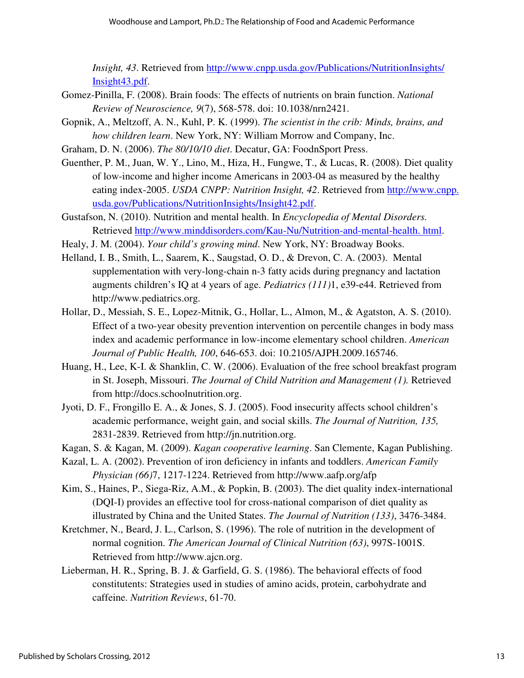*Insight, 43*. Retrieved from http://www.cnpp.usda.gov/Publications/NutritionInsights/ Insight43.pdf.

- Gomez-Pinilla, F. (2008). Brain foods: The effects of nutrients on brain function. *National Review of Neuroscience, 9*(7), 568-578. doi: 10.1038/nrn2421.
- Gopnik, A., Meltzoff, A. N., Kuhl, P. K. (1999). *The scientist in the crib: Minds, brains, and how children learn*. New York, NY: William Morrow and Company, Inc.
- Graham, D. N. (2006). *The 80/10/10 diet*. Decatur, GA: FoodnSport Press.
- Guenther, P. M., Juan, W. Y., Lino, M., Hiza, H., Fungwe, T., & Lucas, R. (2008). Diet quality of low-income and higher income Americans in 2003-04 as measured by the healthy eating index-2005. *USDA CNPP: Nutrition Insight, 42*. Retrieved from http://www.cnpp. usda.gov/Publications/NutritionInsights/Insight42.pdf.
- Gustafson, N. (2010). Nutrition and mental health. In *Encyclopedia of Mental Disorders.* Retrieved http://www.minddisorders.com/Kau-Nu/Nutrition-and-mental-health. html.
- Healy, J. M. (2004). *Your child's growing mind*. New York, NY: Broadway Books.
- Helland, I. B., Smith, L., Saarem, K., Saugstad, O. D., & Drevon, C. A. (2003). Mental supplementation with very-long-chain n-3 fatty acids during pregnancy and lactation augments children's IQ at 4 years of age. *Pediatrics (111)*1, e39-e44. Retrieved from http://www.pediatrics.org.
- Hollar, D., Messiah, S. E., Lopez-Mitnik, G., Hollar, L., Almon, M., & Agatston, A. S. (2010). Effect of a two-year obesity prevention intervention on percentile changes in body mass index and academic performance in low-income elementary school children. *American Journal of Public Health, 100*, 646-653. doi: 10.2105/AJPH.2009.165746.
- Huang, H., Lee, K-I. & Shanklin, C. W. (2006). Evaluation of the free school breakfast program in St. Joseph, Missouri. *The Journal of Child Nutrition and Management (1).* Retrieved from http://docs.schoolnutrition.org.
- Jyoti, D. F., Frongillo E. A., & Jones, S. J. (2005). Food insecurity affects school children's academic performance, weight gain, and social skills. *The Journal of Nutrition, 135,*  2831-2839. Retrieved from http://jn.nutrition.org.
- Kagan, S. & Kagan, M. (2009). *Kagan cooperative learning*. San Clemente, Kagan Publishing.
- Kazal, L. A. (2002). Prevention of iron deficiency in infants and toddlers. *American Family Physician (66)*7, 1217-1224. Retrieved from http://www.aafp.org/afp
- Kim, S., Haines, P., Siega-Riz, A.M., & Popkin, B. (2003). The diet quality index-international (DQI-I) provides an effective tool for cross-national comparison of diet quality as illustrated by China and the United States. *The Journal of Nutrition (133)*, 3476-3484.
- Kretchmer, N., Beard, J. L., Carlson, S. (1996). The role of nutrition in the development of normal cognition. *The American Journal of Clinical Nutrition (63)*, 997S-1001S. Retrieved from http://www.ajcn.org.
- Lieberman, H. R., Spring, B. J. & Garfield, G. S. (1986). The behavioral effects of food constitutents: Strategies used in studies of amino acids, protein, carbohydrate and caffeine. *Nutrition Reviews*, 61-70.